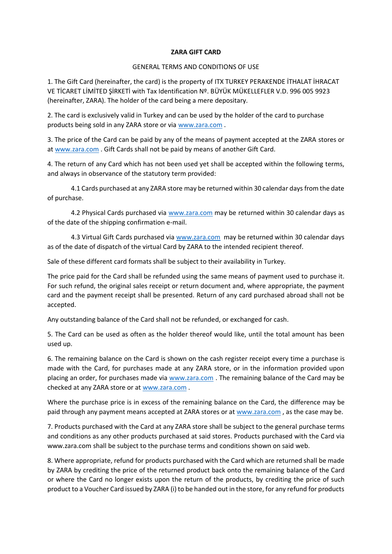## **ZARA GIFT CARD**

## GENERAL TERMS AND CONDITIONS OF USE

1. The Gift Card (hereinafter, the card) is the property of ITX TURKEY PERAKENDE İTHALAT İHRACAT VE TİCARET LİMİTED ŞİRKETİ with Tax Identification Nº. BÜYÜK MÜKELLEFLER V.D. 996 005 9923 (hereinafter, ZARA). The holder of the card being a mere depositary.

2. The card is exclusively valid in Turkey and can be used by the holder of the card to purchase products being sold in any ZARA store or via [www.zara.com](http://www.zara.com/) .

3. The price of the Card can be paid by any of the means of payment accepted at the ZARA stores or at [www.zara.com](http://www.zara.com/) . Gift Cards shall not be paid by means of another Gift Card.

4. The return of any Card which has not been used yet shall be accepted within the following terms, and always in observance of the statutory term provided:

4.1 Cards purchased at any ZARA store may be returned within 30 calendar days from the date of purchase.

4.2 Physical Cards purchased via [www.zara.com](http://www.zara.com/) may be returned within 30 calendar days as of the date of the shipping confirmation e-mail.

4.3 Virtual Gift Cards purchased via [www.zara.com](http://www.zara.com/) may be returned within 30 calendar days as of the date of dispatch of the virtual Card by ZARA to the intended recipient thereof.

Sale of these different card formats shall be subject to their availability in Turkey.

The price paid for the Card shall be refunded using the same means of payment used to purchase it. For such refund, the original sales receipt or return document and, where appropriate, the payment card and the payment receipt shall be presented. Return of any card purchased abroad shall not be accepted.

Any outstanding balance of the Card shall not be refunded, or exchanged for cash.

5. The Card can be used as often as the holder thereof would like, until the total amount has been used up.

6. The remaining balance on the Card is shown on the cash register receipt every time a purchase is made with the Card, for purchases made at any ZARA store, or in the information provided upon placing an order, for purchases made via [www.zara.com](http://www.zara.com/) . The remaining balance of the Card may be checked at any ZARA store or a[t www.zara.com](http://www.zara.com/) .

Where the purchase price is in excess of the remaining balance on the Card, the difference may be paid through any payment means accepted at ZARA stores or at [www.zara.com](http://www.zara.com/) , as the case may be.

7. Products purchased with the Card at any ZARA store shall be subject to the general purchase terms and conditions as any other products purchased at said stores. Products purchased with the Card via www.zara.com shall be subject to the purchase terms and conditions shown on said web.

8. Where appropriate, refund for products purchased with the Card which are returned shall be made by ZARA by crediting the price of the returned product back onto the remaining balance of the Card or where the Card no longer exists upon the return of the products, by crediting the price of such product to a Voucher Card issued by ZARA (i) to be handed out in the store, for any refund for products